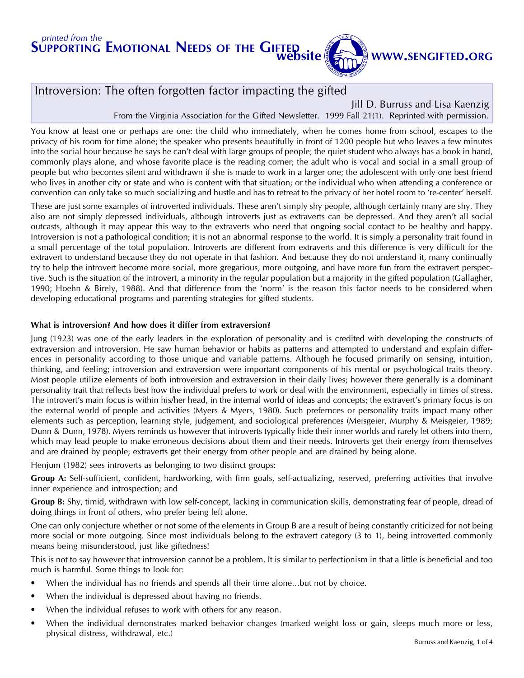# website

### WWW.SENGIFTED.ORG

### Introversion: The often forgotten factor impacting the gifted

Jill D. Burruss and Lisa Kaenzig From the Virginia Association for the Gifted Newsletter. 1999 Fall 21(1). Reprinted with permission.

You know at least one or perhaps are one: the child who immediately, when he comes home from school, escapes to the privacy of his room for time alone; the speaker who presents beautifully in front of 1200 people but who leaves a few minutes into the social hour because he says he can't deal with large groups of people; the quiet student who always has a book in hand, commonly plays alone, and whose favorite place is the reading corner; the adult who is vocal and social in a small group of people but who becomes silent and withdrawn if she is made to work in a larger one; the adolescent with only one best friend who lives in another city or state and who is content with that situation; or the individual who when attending a conference or convention can only take so much socializing and hustle and has to retreat to the privacy of her hotel room to 're-center' herself.

These are just some examples of introverted individuals. These aren't simply shy people, although certainly many are shy. They also are not simply depressed individuals, although introverts just as extraverts can be depressed. And they aren't all social outcasts, although it may appear this way to the extraverts who need that ongoing social contact to be healthy and happy. Introversion is not a pathological condition; it is not an abnormal response to the world. It is simply a personality trait found in a small percentage of the total population. Introverts are different from extraverts and this difference is very difficult for the extravert to understand because they do not operate in that fashion. And because they do not understand it, many continually try to help the introvert become more social, more gregarious, more outgoing, and have more fun from the extravert perspective. Such is the situation of the introvert, a minority in the regular population but a majority in the gifted population (Gallagher, 1990; Hoehn & Birely, 1988). And that difference from the 'norm' is the reason this factor needs to be considered when developing educational programs and parenting strategies for gifted students.

#### What is introversion? And how does it differ from extraversion?

Jung (1923) was one of the early leaders in the exploration of personality and is credited with developing the constructs of extraversion and introversion. He saw human behavior or habits as patterns and attempted to understand and explain differences in personality according to those unique and variable patterns. Although he focused primarily on sensing, intuition, thinking, and feeling; introversion and extraversion were important components of his mental or psychological traits theory. Most people utilize elements of both introversion and extraversion in their daily lives; however there generally is a dominant personality trait that reflects best how the individual prefers to work or deal with the environment, especially in times of stress. The introvert's main focus is within his/her head, in the internal world of ideas and concepts; the extravert's primary focus is on the external world of people and activities (Myers & Myers, 1980). Such prefernces or personality traits impact many other elements such as perception, learning style, judgement, and sociological preferences (Meisgeier, Murphy & Meisgeier, 1989; Dunn & Dunn, 1978). Myers reminds us however that introverts typically hide their inner worlds and rarely let others into them, which may lead people to make erroneous decisions about them and their needs. Introverts get their energy from themselves and are drained by people; extraverts get their energy from other people and are drained by being alone.

Henjum (1982) sees introverts as belonging to two distinct groups:

Group A: Self-sufficient, confident, hardworking, with firm goals, self-actualizing, reserved, preferring activities that involve inner experience and introspection; and

Group B: Shy, timid, withdrawn with low self-concept, lacking in communication skills, demonstrating fear of people, dread of doing things in front of others, who prefer being left alone.

One can only conjecture whether or not some of the elements in Group B are a result of being constantly criticized for not being more social or more outgoing. Since most individuals belong to the extravert category (3 to 1), being introverted commonly means being misunderstood, just like giftedness!

This is not to say however that introversion cannot be a problem. It is similar to perfectionism in that a little is beneficial and too much is harmful. Some things to look for:

- When the individual has no friends and spends all their time alone...but not by choice.
- When the individual is depressed about having no friends.
- When the individual refuses to work with others for any reason.
- When the individual demonstrates marked behavior changes (marked weight loss or gain, sleeps much more or less, physical distress, withdrawal, etc.)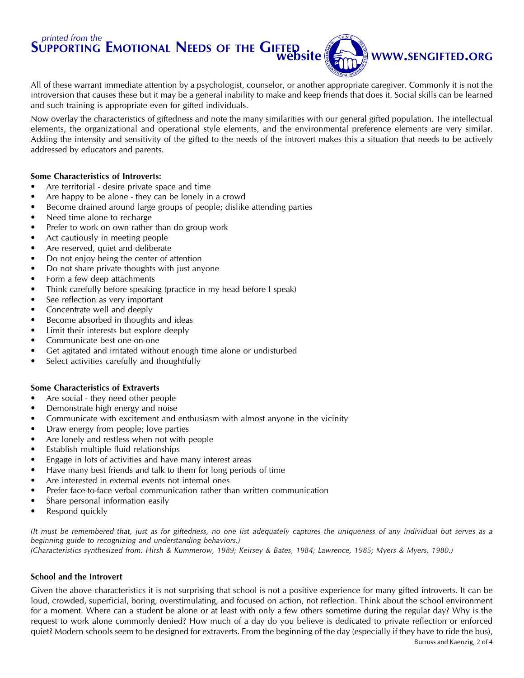

All of these warrant immediate attention by a psychologist, counselor, or another appropriate caregiver. Commonly it is not the introversion that causes these but it may be a general inability to make and keep friends that does it. Social skills can be learned and such training is appropriate even for gifted individuals.

Now overlay the characteristics of giftedness and note the many similarities with our general gifted population. The intellectual elements, the organizational and operational style elements, and the environmental preference elements are very similar. Adding the intensity and sensitivity of the gifted to the needs of the introvert makes this a situation that needs to be actively addressed by educators and parents.

#### Some Characteristics of Introverts:

- Are territorial desire private space and time
- Are happy to be alone they can be lonely in a crowd
- Become drained around large groups of people; dislike attending parties
- Need time alone to recharge
- Prefer to work on own rather than do group work
- Act cautiously in meeting people
- Are reserved, quiet and deliberate
- Do not enjoy being the center of attention
- Do not share private thoughts with just anyone
- Form a few deep attachments
- Think carefully before speaking (practice in my head before I speak)
- See reflection as very important
- Concentrate well and deeply
- Become absorbed in thoughts and ideas
- Limit their interests but explore deeply
- Communicate best one-on-one
- Get agitated and irritated without enough time alone or undisturbed
- Select activities carefully and thoughtfully

#### Some Characteristics of Extraverts

- Are social they need other people
- Demonstrate high energy and noise
- Communicate with excitement and enthusiasm with almost anyone in the vicinity
- Draw energy from people; love parties
- Are lonely and restless when not with people
- Establish multiple fluid relationships
- Engage in lots of activities and have many interest areas
- Have many best friends and talk to them for long periods of time
- Are interested in external events not internal ones
- Prefer face-to-face verbal communication rather than written communication
- Share personal information easily
- Respond quickly

(It must be remembered that, just as for giftedness, no one list adequately captures the uniqueness of any individual but serves as a beginning guide to recognizing and understanding behaviors.)

(Characteristics synthesized from: Hirsh & Kummerow, 1989; Keirsey & Bates, 1984; Lawrence, 1985; Myers & Myers, 1980.)

#### School and the Introvert

Given the above characteristics it is not surprising that school is not a positive experience for many gifted introverts. It can be loud, crowded, superficial, boring, overstimulating, and focused on action, not reflection. Think about the school environment for a moment. Where can a student be alone or at least with only a few others sometime during the regular day? Why is the request to work alone commonly denied? How much of a day do you believe is dedicated to private reflection or enforced quiet? Modern schools seem to be designed for extraverts. From the beginning of the day (especially if they have to ride the bus),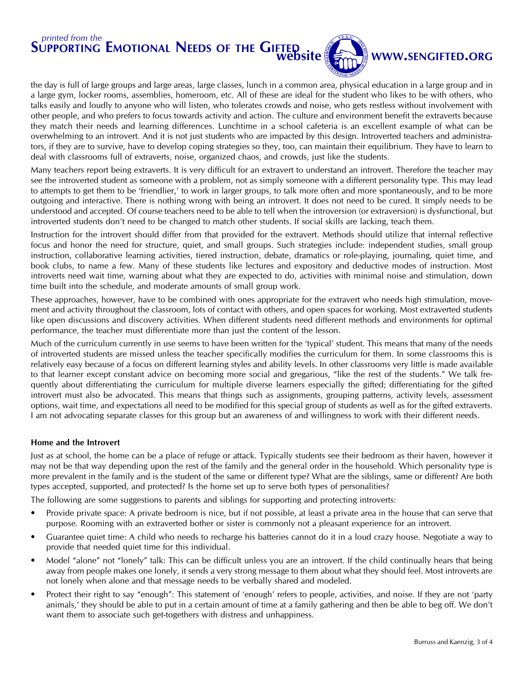

### WWW.SENGIFTED.ORG

the day is full of large groups and large areas, large classes, lunch in a common area, physical education in a large group and in a large gym, locker rooms, assemblies, homeroom, etc. All of these are ideal for the student who likes to be with others, who talks easily and loudly to anyone who will listen, who tolerates crowds and noise, who gets restless without involvement with other people, and who prefers to focus towards activity and action. The culture and environment benefit the extraverts because they match their needs and learning differences. Lunchtime in a school cafeteria is an excellent example of what can be overwhelming to an introvert. And it is not just students who are impacted by this design. Introverted teachers and administrators, if they are to survive, have to develop coping strategies so they, too, can maintain their equilibrium. They have to learn to deal with classrooms full of extraverts, noise, organized chaos, and crowds, just like the students.

Many teachers report being extraverts. It is very difficult for an extravert to understand an introvert. Therefore the teacher may see the introverted student as someone with a problem, not as simply someone with a different personality type. This may lead to attempts to get them to be 'friendlier,' to work in larger groups, to talk more often and more spontaneously, and to be more outgoing and interactive. There is nothing wrong with being an introvert. It does not need to be cured. It simply needs to be understood and accepted. Of course teachers need to be able to tell when the introversion (or extraversion) is dysfunctional, but introverted students don't need to be changed to match other students. If social skills are lacking, teach them.

Instruction for the introvert should differ from that provided for the extravert. Methods should utilize that internal reflective focus and honor the need for structure, quiet, and small groups. Such strategies include: independent studies, small group instruction, collaborative learning activities, tiered instruction, debate, dramatics or role-playing, journaling, quiet time, and book clubs, to name a few. Many of these students like lectures and expository and deductive modes of instruction. Most introverts need wait time, warning about what they are expected to do, activities with minimal noise and stimulation, down time built into the schedule, and moderate amounts of small group work.

These approaches, however, have to be combined with ones appropriate for the extravert who needs high stimulation, movement and activity throughout the classroom, lots of contact with others, and open spaces for working. Most extraverted students like open discussions and discovery activities. When different students need different methods and environments for optimal performance, the teacher must differentiate more than just the content of the lesson.

Much of the curriculum currently in use seems to have been written for the 'typical' student. This means that many of the needs of introverted students are missed unless the teacher specifically modifies the curriculum for them. In some classrooms this is relatively easy because of a focus on different learning styles and ability levels. In other classrooms very little is made available to that learner except constant advice on becoming more social and gregarious, "like the rest of the students." We talk frequently about differentiating the curriculum for multiple diverse learners especially the gifted; differentiating for the gifted introvert must also be advocated. This means that things such as assignments, grouping patterns, activity levels, assessment options, wait time, and expectations all need to be modified for this special group of students as well as for the gifted extraverts. I am not advocating separate classes for this group but an awareness of and willingness to work with their different needs.

#### Home and the Introvert

Just as at school, the home can be a place of refuge or attack. Typically students see their bedroom as their haven, however it may not be that way depending upon the rest of the family and the general order in the household. Which personality type is more prevalent in the family and is the student of the same or different type? What are the siblings, same or different? Are both types accepted, supported, and protected? Is the home set up to serve both types of personalities?

The following are some suggestions to parents and siblings for supporting and protecting introverts:

- Provide private space: A private bedroom is nice, but if not possible, at least a private area in the house that can serve that purpose. Rooming with an extraverted bother or sister is commonly not a pleasant experience for an introvert.
- Guarantee quiet time: A child who needs to recharge his batteries cannot do it in a loud crazy house. Negotiate a way to provide that needed quiet time for this individual.
- Model "alone" not "lonely" talk: This can be difficult unless you are an introvert. If the child continually hears that being away from people makes one lonely, it sends a very strong message to them about what they should feel. Most introverts are not lonely when alone and that message needs to be verbally shared and modeled.
- Protect their right to say "enough": This statement of 'enough' refers to people, activities, and noise. If they are not 'party animals,' they should be able to put in a certain amount of time at a family gathering and then be able to beg off. We don't want them to associate such get-togethers with distress and unhappiness.